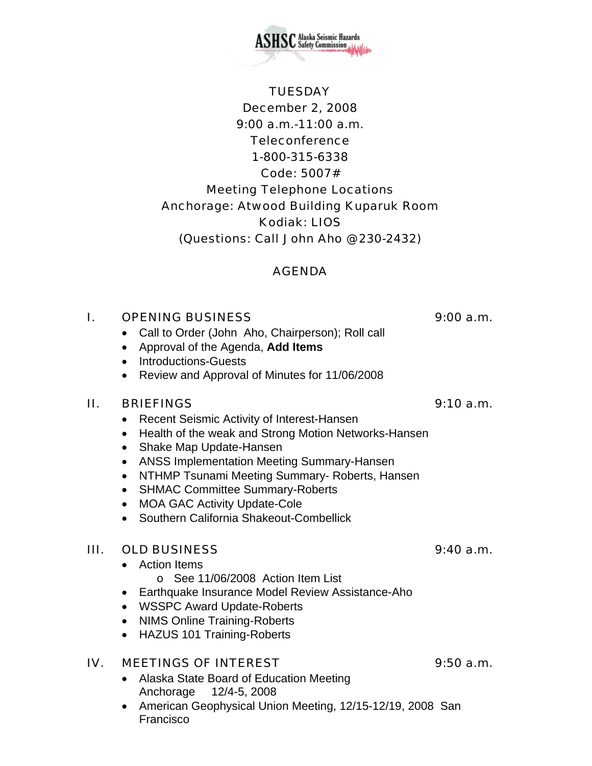December 2, 2008 9:00 a.m.-11:00 a.m. **Teleconference** 1-800-315-6338 Code: 5007# Meeting Telephone Locations Anchorage: Atwood Building Kuparuk Room Kodiak: LIOS (Questions: Call John Aho @ 230-2432)

**TUESDAY** 

#### AGENDA

# I. OPENING BUSINESS 9:00 a.m.

- Call to Order (John Aho, Chairperson); Roll call
- Approval of the Agenda, **Add Items**
- Introductions-Guests
- Review and Approval of Minutes for 11/06/2008

## II. BRIEFINGS 9:10 a.m.

- Recent Seismic Activity of Interest-Hansen
- Health of the weak and Strong Motion Networks-Hansen
- Shake Map Update-Hansen
- ANSS Implementation Meeting Summary-Hansen
- NTHMP Tsunami Meeting Summary- Roberts, Hansen
- SHMAC Committee Summary-Roberts
- MOA GAC Activity Update-Cole
- Southern California Shakeout-Combellick

## III. OLD BUSINESS 9:40 a.m.

- Action Items o See 11/06/2008 Action Item List
- Earthquake Insurance Model Review Assistance-Aho
- WSSPC Award Update-Roberts
- NIMS Online Training-Roberts
- HAZUS 101 Training-Roberts

## IV. MEETINGS OF INTEREST 9:50 a.m.

- Alaska State Board of Education Meeting Anchorage 12/4-5, 2008
- American Geophysical Union Meeting, 12/15-12/19, 2008 San Francisco

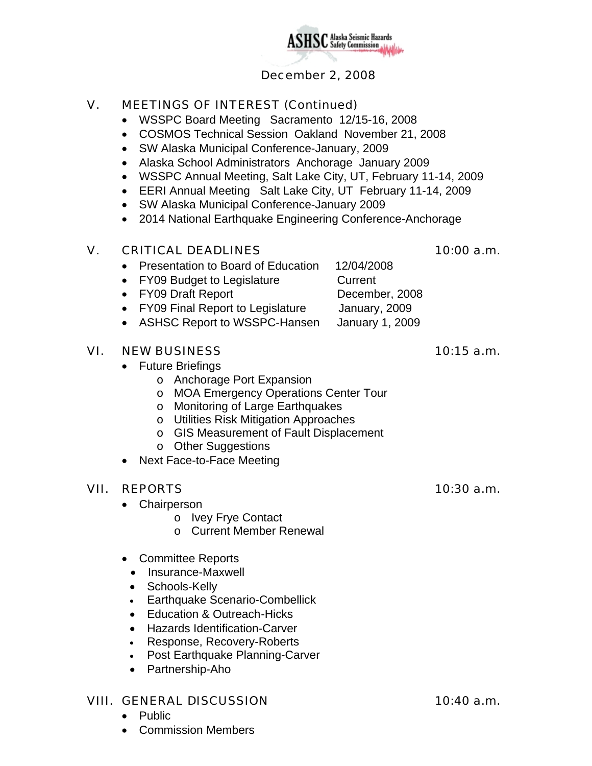

## December 2, 2008

## V. MEETINGS OF INTEREST (Continued)

- WSSPC Board Meeting Sacramento 12/15-16, 2008
- COSMOS Technical Session Oakland November 21, 2008
- SW Alaska Municipal Conference-January, 2009
- Alaska School Administrators Anchorage January 2009
- WSSPC Annual Meeting, Salt Lake City, UT, February 11-14, 2009
- EERI Annual Meeting Salt Lake City, UT February 11-14, 2009
- SW Alaska Municipal Conference-January 2009
- 2014 National Earthquake Engineering Conference-Anchorage

#### V. CRITICAL DEADLINES 10:00 a.m.

- Presentation to Board of Education 12/04/2008
- FY09 Budget to Legislature **Current**
- FY09 Draft Report December, 2008
	-
- FY09 Final Report to Legislature January, 2009
- ASHSC Report to WSSPC-Hansen January 1, 2009

#### VI. NEW BUSINESS 10:15 a.m.

- Future Briefings
	- o Anchorage Port Expansion
	- o MOA Emergency Operations Center Tour
	- o Monitoring of Large Earthquakes
	- o Utilities Risk Mitigation Approaches
	- o GIS Measurement of Fault Displacement
	- o Other Suggestions
- Next Face-to-Face Meeting

## VII. REPORTS 10:30 a.m.

- Chairperson
	- o Ivey Frye Contact
	- o Current Member Renewal
- Committee Reports
	- Insurance-Maxwell
	- Schools-Kelly
	- Earthquake Scenario-Combellick
	- Education & Outreach -Hicks
	- Hazards Identification-Carver
	- Response, Recovery-Roberts
	- Post Earthquake Planning-Carver
	- Partnership-Aho

#### VIII. GENERAL DISCUSSION 10:40 a.m.

- Public
- Commission Members